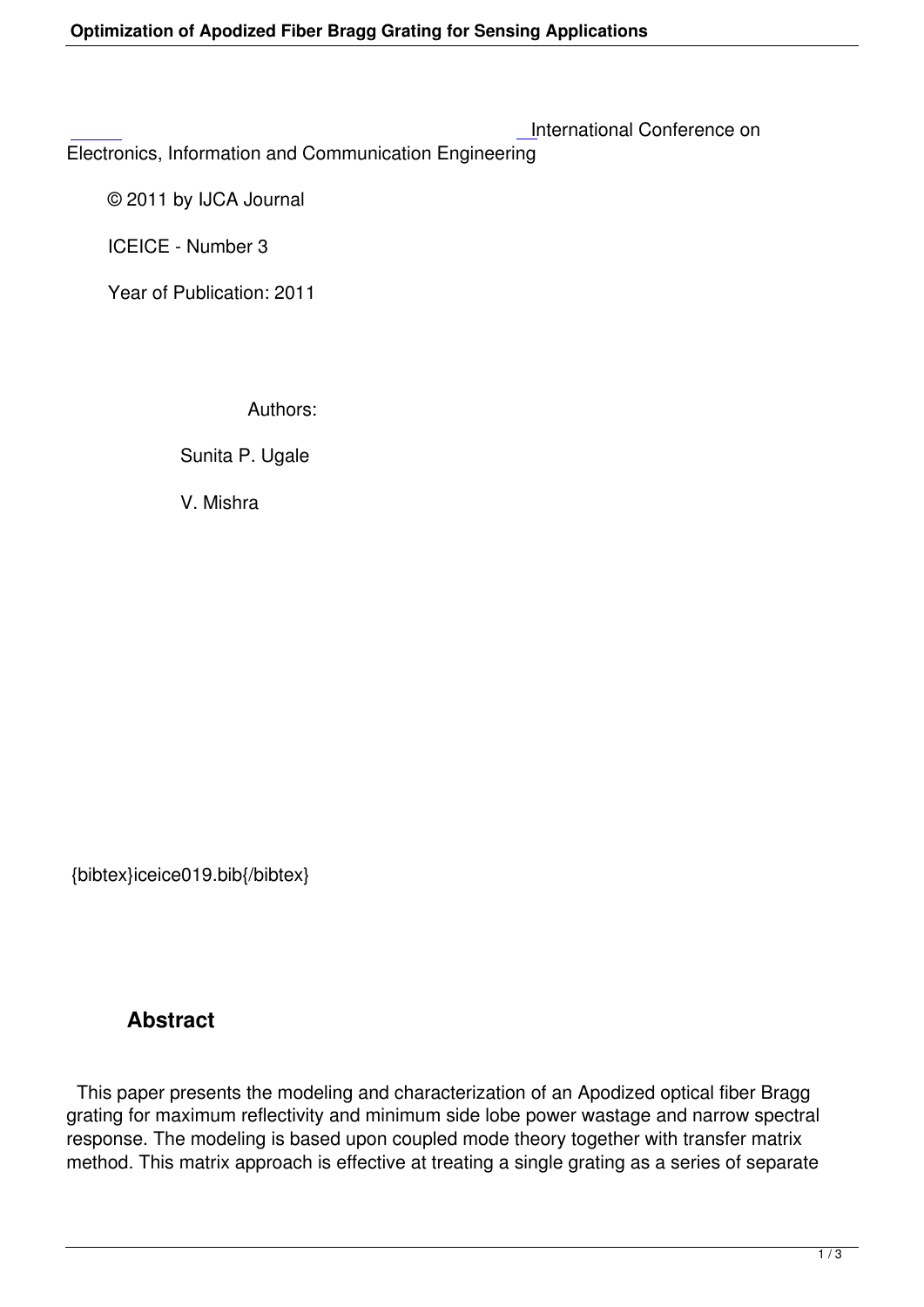Electronics, Information and Communication Engineering

 [©](http://research.ijcaonline.org/iceice/number3/iceice019.pdf) 2011 by IJCA Journal

ICEICE - Number 3

Year of Publication: 2011

Authors:

Sunita P. Ugale

V. Mishra

{bibtex}iceice019.bib{/bibtex}

## **Abstract**

 This paper presents the modeling and characterization of an Apodized optical fiber Bragg grating for maximum reflectivity and minimum side lobe power wastage and narrow spectral response. The modeling is based upon coupled mode theory together with transfer matrix method. This matrix approach is effective at treating a single grating as a series of separate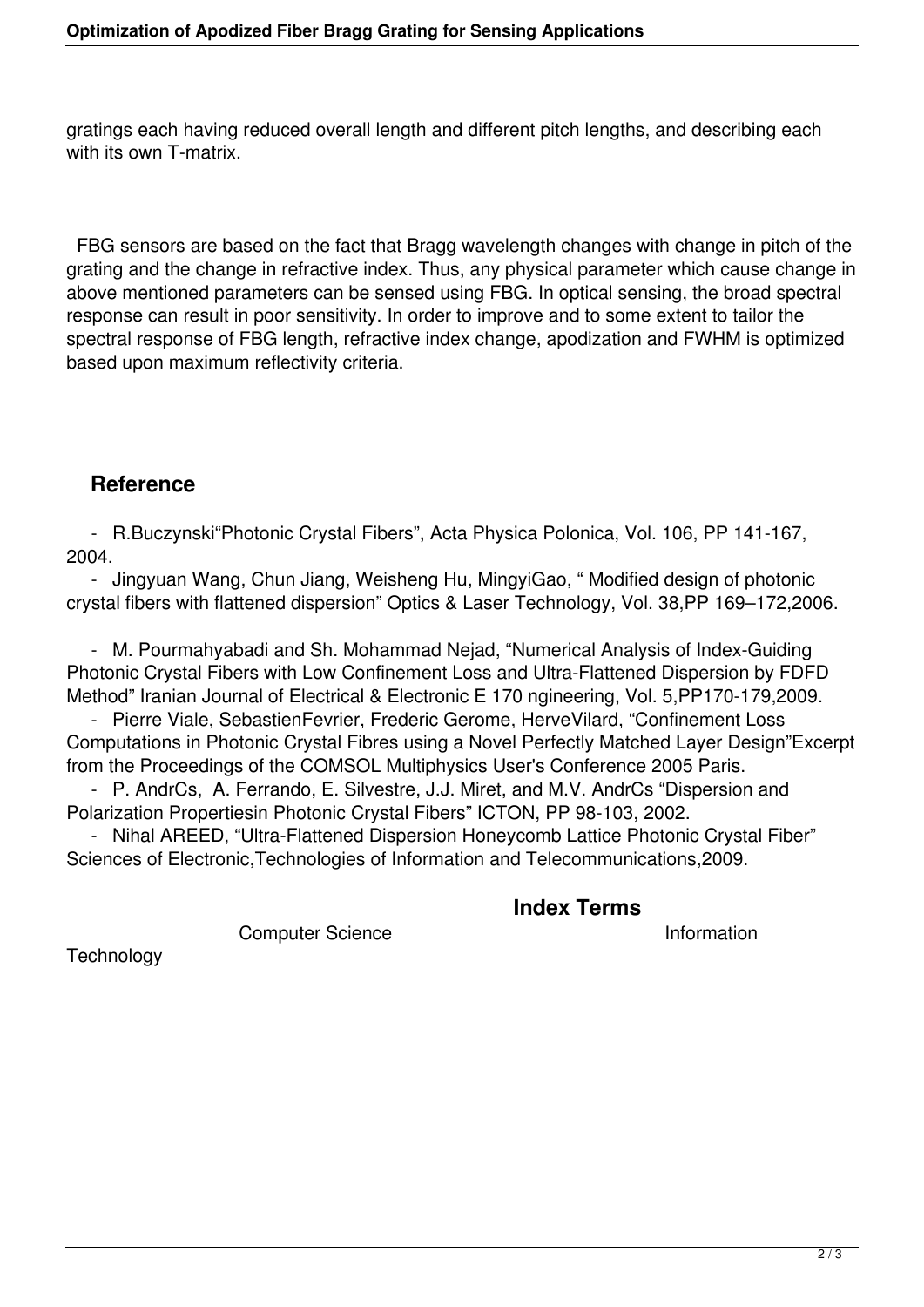gratings each having reduced overall length and different pitch lengths, and describing each with its own T-matrix.

 FBG sensors are based on the fact that Bragg wavelength changes with change in pitch of the grating and the change in refractive index. Thus, any physical parameter which cause change in above mentioned parameters can be sensed using FBG. In optical sensing, the broad spectral response can result in poor sensitivity. In order to improve and to some extent to tailor the spectral response of FBG length, refractive index change, apodization and FWHM is optimized based upon maximum reflectivity criteria.

## **Reference**

 - R.Buczynski"Photonic Crystal Fibers", Acta Physica Polonica, Vol. 106, PP 141-167, 2004.

 - Jingyuan Wang, Chun Jiang, Weisheng Hu, MingyiGao, " Modified design of photonic crystal fibers with flattened dispersion" Optics & Laser Technology, Vol. 38,PP 169–172,2006.

 - M. Pourmahyabadi and Sh. Mohammad Nejad, "Numerical Analysis of Index-Guiding Photonic Crystal Fibers with Low Confinement Loss and Ultra-Flattened Dispersion by FDFD Method" Iranian Journal of Electrical & Electronic E 170 ngineering, Vol. 5,PP170-179,2009.

 - Pierre Viale, SebastienFevrier, Frederic Gerome, HerveVilard, "Confinement Loss Computations in Photonic Crystal Fibres using a Novel Perfectly Matched Layer Design"Excerpt from the Proceedings of the COMSOL Multiphysics User's Conference 2005 Paris.

 - P. AndrCs, A. Ferrando, E. Silvestre, J.J. Miret, and M.V. AndrCs "Dispersion and Polarization Propertiesin Photonic Crystal Fibers" ICTON, PP 98-103, 2002.

 - Nihal AREED, "Ultra-Flattened Dispersion Honeycomb Lattice Photonic Crystal Fiber" Sciences of Electronic,Technologies of Information and Telecommunications,2009.

**Index Terms** 

Computer Science **Information** 

**Technology**